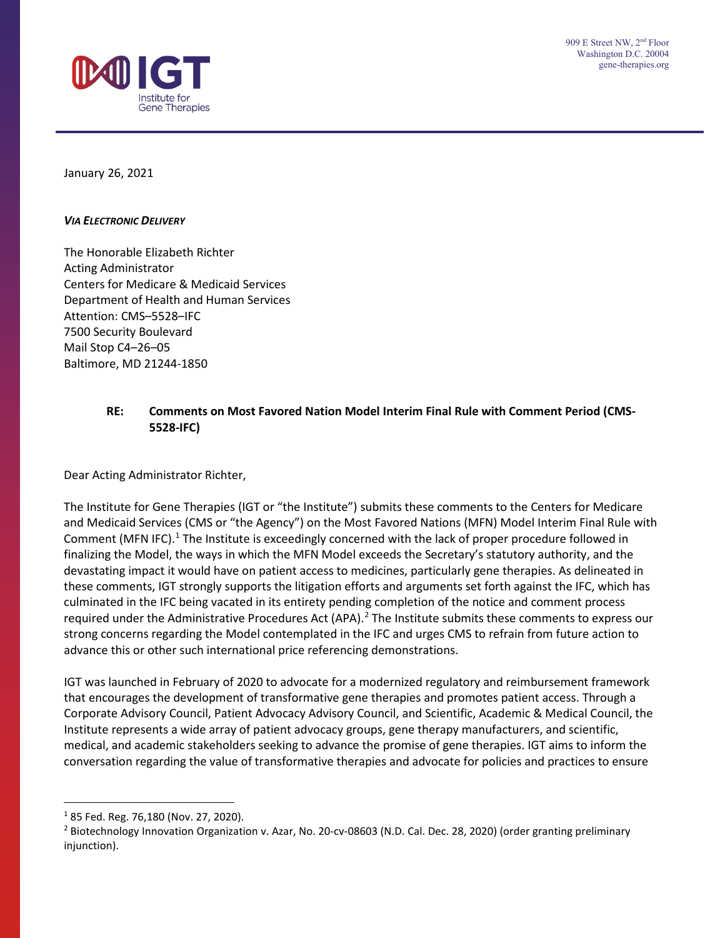January 26, 2021

### *VIA ELECTRONIC DELIVERY*

The Honorable Elizabeth Richter Acting Administrator Centers for Medicare & Medicaid Services Department of Health and Human Services Attention: CMS–5528–IFC 7500 Security Boulevard Mail Stop C4–26–05 Baltimore, MD 21244-1850

# **RE: Comments on Most Favored Nation Model Interim Final Rule with Comment Period (CMS-5528-IFC)**

Dear Acting Administrator Richter,

The Institute for Gene Therapies (IGT or "the Institute") submits these comments to the Centers for Medicare and Medicaid Services (CMS or "the Agency") on the Most Favored Nations (MFN) Model Interim Final Rule with Comment (MFN IFC).<sup>[1](#page-0-0)</sup> The Institute is exceedingly concerned with the lack of proper procedure followed in finalizing the Model, the ways in which the MFN Model exceeds the Secretary's statutory authority, and the devastating impact it would have on patient access to medicines, particularly gene therapies. As delineated in these comments, IGT strongly supports the litigation efforts and arguments set forth against the IFC, which has culminated in the IFC being vacated in its entirety pending completion of the notice and comment process required under the Administrative Procedures Act (APA).<sup>[2](#page-0-1)</sup> The Institute submits these comments to express our strong concerns regarding the Model contemplated in the IFC and urges CMS to refrain from future action to advance this or other such international price referencing demonstrations.

IGT was launched in February of 2020 to advocate for a modernized regulatory and reimbursement framework that encourages the development of transformative gene therapies and promotes patient access. Through a Corporate Advisory Council, Patient Advocacy Advisory Council, and Scientific, Academic & Medical Council, the Institute represents a wide array of patient advocacy groups, gene therapy manufacturers, and scientific, medical, and academic stakeholders seeking to advance the promise of gene therapies. IGT aims to inform the conversation regarding the value of transformative therapies and advocate for policies and practices to ensure

<span id="page-0-0"></span> $185$  Fed. Reg. 76,180 (Nov. 27, 2020).

<span id="page-0-1"></span><sup>&</sup>lt;sup>2</sup> Biotechnology Innovation Organization v. Azar, No. 20-cv-08603 (N.D. Cal. Dec. 28, 2020) (order granting preliminary injunction).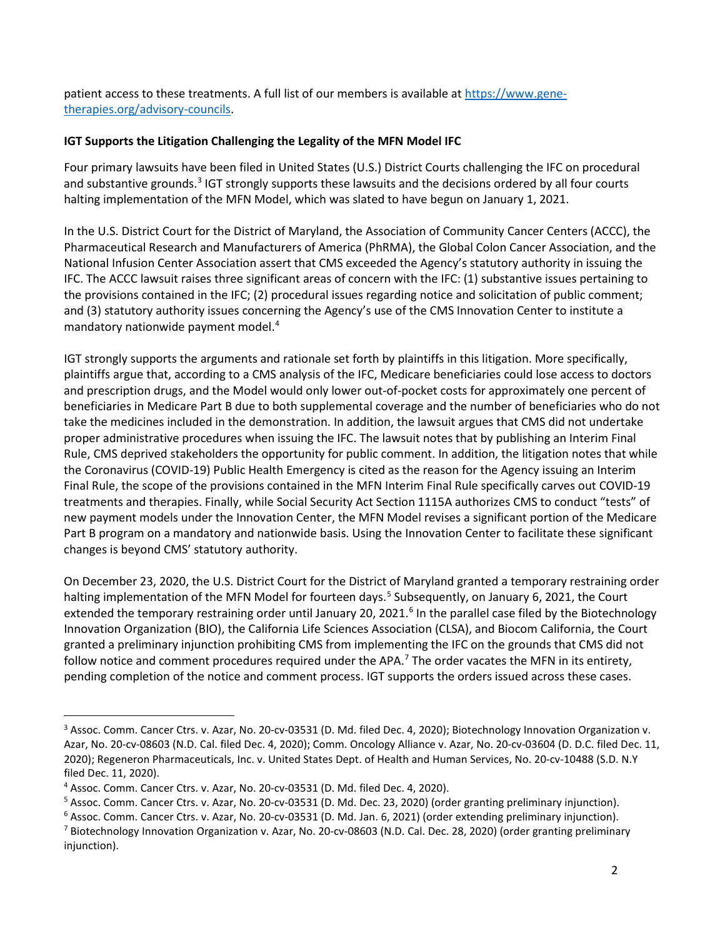patient access to these treatments. A full list of our members is available a[t https://www.gene](https://www.gene-therapies.org/advisory-councils)[therapies.org/advisory-councils.](https://www.gene-therapies.org/advisory-councils)

## **IGT Supports the Litigation Challenging the Legality of the MFN Model IFC**

Four primary lawsuits have been filed in United States (U.S.) District Courts challenging the IFC on procedural and substantive grounds.<sup>[3](#page-1-0)</sup> IGT strongly supports these lawsuits and the decisions ordered by all four courts halting implementation of the MFN Model, which was slated to have begun on January 1, 2021.

In the U.S. District Court for the District of Maryland, the Association of Community Cancer Centers (ACCC), the Pharmaceutical Research and Manufacturers of America (PhRMA), the Global Colon Cancer Association, and the National Infusion Center Association assert that CMS exceeded the Agency's statutory authority in issuing the IFC. The ACCC lawsuit raises three significant areas of concern with the IFC: (1) substantive issues pertaining to the provisions contained in the IFC; (2) procedural issues regarding notice and solicitation of public comment; and (3) statutory authority issues concerning the Agency's use of the CMS Innovation Center to institute a mandatory nationwide payment model.[4](#page-1-1)

IGT strongly supports the arguments and rationale set forth by plaintiffs in this litigation. More specifically, plaintiffs argue that, according to a CMS analysis of the IFC, Medicare beneficiaries could lose access to doctors and prescription drugs, and the Model would only lower out-of-pocket costs for approximately one percent of beneficiaries in Medicare Part B due to both supplemental coverage and the number of beneficiaries who do not take the medicines included in the demonstration. In addition, the lawsuit argues that CMS did not undertake proper administrative procedures when issuing the IFC. The lawsuit notes that by publishing an Interim Final Rule, CMS deprived stakeholders the opportunity for public comment. In addition, the litigation notes that while the Coronavirus (COVID-19) Public Health Emergency is cited as the reason for the Agency issuing an Interim Final Rule, the scope of the provisions contained in the MFN Interim Final Rule specifically carves out COVID-19 treatments and therapies. Finally, while Social Security Act Section 1115A authorizes CMS to conduct "tests" of new payment models under the Innovation Center, the MFN Model revises a significant portion of the Medicare Part B program on a mandatory and nationwide basis. Using the Innovation Center to facilitate these significant changes is beyond CMS' statutory authority.

On December 23, 2020, the U.S. District Court for the District of Maryland granted a temporary restraining order halting implementation of the MFN Model for fourteen days.<sup>[5](#page-1-2)</sup> Subsequently, on January 6, 2021, the Court extended the temporary restraining order until January 20, 2021.<sup>[6](#page-1-3)</sup> In the parallel case filed by the Biotechnology Innovation Organization (BIO), the California Life Sciences Association (CLSA), and Biocom California, the Court granted a preliminary injunction prohibiting CMS from implementing the IFC on the grounds that CMS did not follow notice and comment procedures required under the APA.<sup>[7](#page-1-4)</sup> The order vacates the MFN in its entirety, pending completion of the notice and comment process. IGT supports the orders issued across these cases.

<span id="page-1-0"></span><sup>&</sup>lt;sup>3</sup> Assoc. Comm. Cancer Ctrs. v. Azar, No. 20-cv-03531 (D. Md. filed Dec. 4, 2020); Biotechnology Innovation Organization v. Azar, No. 20-cv-08603 (N.D. Cal. filed Dec. 4, 2020); Comm. Oncology Alliance v. Azar, No. 20-cv-03604 (D. D.C. filed Dec. 11, 2020); Regeneron Pharmaceuticals, Inc. v. United States Dept. of Health and Human Services, No. 20-cv-10488 (S.D. N.Y filed Dec. 11, 2020).

<span id="page-1-1"></span><sup>4</sup> Assoc. Comm. Cancer Ctrs. v. Azar, No. 20-cv-03531 (D. Md. filed Dec. 4, 2020).

<span id="page-1-2"></span><sup>&</sup>lt;sup>5</sup> Assoc. Comm. Cancer Ctrs. v. Azar, No. 20-cv-03531 (D. Md. Dec. 23, 2020) (order granting preliminary injunction).<br><sup>6</sup> Assoc. Comm. Cancer Ctrs. v. Azar, No. 20-cv-03531 (D. Md. Jan. 6, 2021) (order extending prelimin

<span id="page-1-3"></span>

<span id="page-1-4"></span>injunction).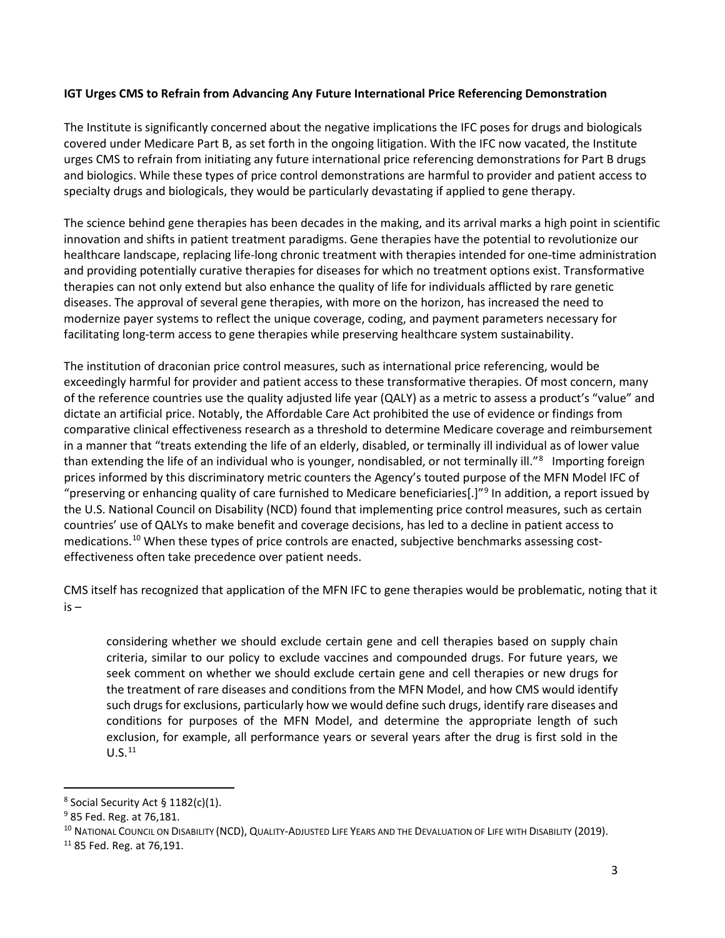### **IGT Urges CMS to Refrain from Advancing Any Future International Price Referencing Demonstration**

The Institute is significantly concerned about the negative implications the IFC poses for drugs and biologicals covered under Medicare Part B, as set forth in the ongoing litigation. With the IFC now vacated, the Institute urges CMS to refrain from initiating any future international price referencing demonstrations for Part B drugs and biologics. While these types of price control demonstrations are harmful to provider and patient access to specialty drugs and biologicals, they would be particularly devastating if applied to gene therapy.

The science behind gene therapies has been decades in the making, and its arrival marks a high point in scientific innovation and shifts in patient treatment paradigms. Gene therapies have the potential to revolutionize our healthcare landscape, replacing life-long chronic treatment with therapies intended for one-time administration and providing potentially curative therapies for diseases for which no treatment options exist. Transformative therapies can not only extend but also enhance the quality of life for individuals afflicted by rare genetic diseases. The approval of several gene therapies, with more on the horizon, has increased the need to modernize payer systems to reflect the unique coverage, coding, and payment parameters necessary for facilitating long-term access to gene therapies while preserving healthcare system sustainability.

The institution of draconian price control measures, such as international price referencing, would be exceedingly harmful for provider and patient access to these transformative therapies. Of most concern, many of the reference countries use the quality adjusted life year (QALY) as a metric to assess a product's "value" and dictate an artificial price. Notably, the Affordable Care Act prohibited the use of evidence or findings from comparative clinical effectiveness research as a threshold to determine Medicare coverage and reimbursement in a manner that "treats extending the life of an elderly, disabled, or terminally ill individual as of lower value than extending the life of an individual who is younger, nondisabled, or not terminally ill."<sup>[8](#page-2-0)</sup> Importing foreign prices informed by this discriminatory metric counters the Agency's touted purpose of the MFN Model IFC of "preserving or enhancing quality of care furnished to Medicare beneficiaries[.]"[9](#page-2-1) In addition, a report issued by the U.S. National Council on Disability (NCD) found that implementing price control measures, such as certain countries' use of QALYs to make benefit and coverage decisions, has led to a decline in patient access to medications. [10](#page-2-2) When these types of price controls are enacted, subjective benchmarks assessing costeffectiveness often take precedence over patient needs.

CMS itself has recognized that application of the MFN IFC to gene therapies would be problematic, noting that it is –

considering whether we should exclude certain gene and cell therapies based on supply chain criteria, similar to our policy to exclude vaccines and compounded drugs. For future years, we seek comment on whether we should exclude certain gene and cell therapies or new drugs for the treatment of rare diseases and conditions from the MFN Model, and how CMS would identify such drugs for exclusions, particularly how we would define such drugs, identify rare diseases and conditions for purposes of the MFN Model, and determine the appropriate length of such exclusion, for example, all performance years or several years after the drug is first sold in the  $U.S.<sup>11</sup>$  $U.S.<sup>11</sup>$  $U.S.<sup>11</sup>$ 

<span id="page-2-0"></span> $8$  Social Security Act § 1182(c)(1).

<span id="page-2-1"></span><sup>9</sup> 85 Fed. Reg. at 76,181.

<span id="page-2-2"></span><sup>&</sup>lt;sup>10</sup> NATIONAL COUNCIL ON DISABILITY (NCD), QUALITY-ADJUSTED LIFE YEARS AND THE DEVALUATION OF LIFE WITH DISABILITY (2019).

<span id="page-2-3"></span><sup>11</sup> 85 Fed. Reg. at 76,191.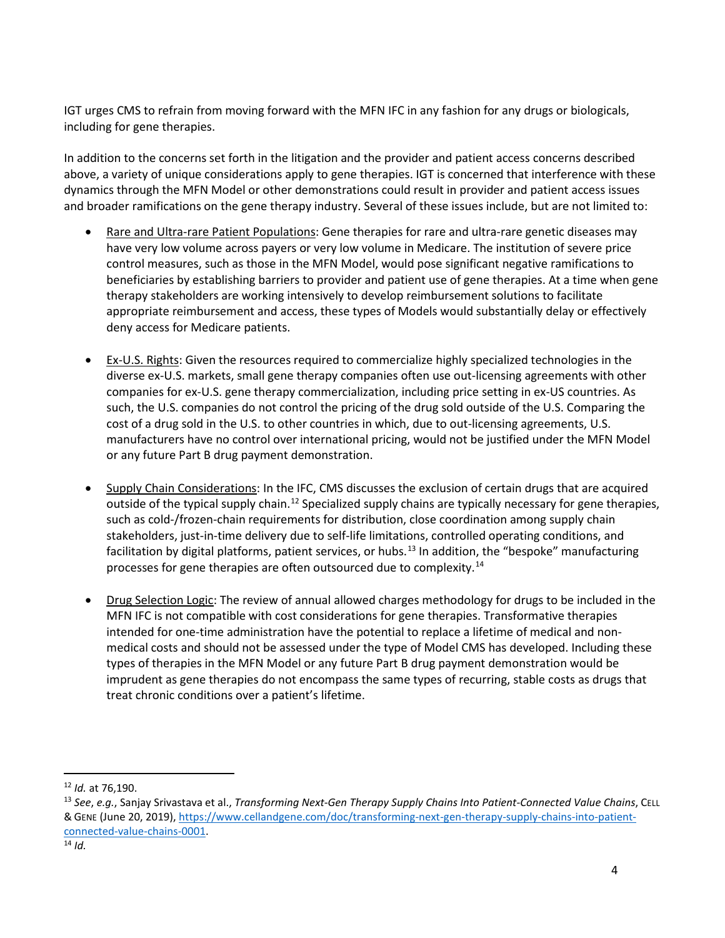IGT urges CMS to refrain from moving forward with the MFN IFC in any fashion for any drugs or biologicals, including for gene therapies.

In addition to the concerns set forth in the litigation and the provider and patient access concerns described above, a variety of unique considerations apply to gene therapies. IGT is concerned that interference with these dynamics through the MFN Model or other demonstrations could result in provider and patient access issues and broader ramifications on the gene therapy industry. Several of these issues include, but are not limited to:

- Rare and Ultra-rare Patient Populations: Gene therapies for rare and ultra-rare genetic diseases may have very low volume across payers or very low volume in Medicare. The institution of severe price control measures, such as those in the MFN Model, would pose significant negative ramifications to beneficiaries by establishing barriers to provider and patient use of gene therapies. At a time when gene therapy stakeholders are working intensively to develop reimbursement solutions to facilitate appropriate reimbursement and access, these types of Models would substantially delay or effectively deny access for Medicare patients.
- Ex-U.S. Rights: Given the resources required to commercialize highly specialized technologies in the diverse ex-U.S. markets, small gene therapy companies often use out-licensing agreements with other companies for ex-U.S. gene therapy commercialization, including price setting in ex-US countries. As such, the U.S. companies do not control the pricing of the drug sold outside of the U.S. Comparing the cost of a drug sold in the U.S. to other countries in which, due to out-licensing agreements, U.S. manufacturers have no control over international pricing, would not be justified under the MFN Model or any future Part B drug payment demonstration.
- Supply Chain Considerations: In the IFC, CMS discusses the exclusion of certain drugs that are acquired outside of the typical supply chain.<sup>[12](#page-3-0)</sup> Specialized supply chains are typically necessary for gene therapies, such as cold-/frozen-chain requirements for distribution, close coordination among supply chain stakeholders, just-in-time delivery due to self-life limitations, controlled operating conditions, and facilitation by digital platforms, patient services, or hubs.<sup>[13](#page-3-1)</sup> In addition, the "bespoke" manufacturing processes for gene therapies are often outsourced due to complexity.<sup>[14](#page-3-2)</sup>
- Drug Selection Logic: The review of annual allowed charges methodology for drugs to be included in the MFN IFC is not compatible with cost considerations for gene therapies. Transformative therapies intended for one-time administration have the potential to replace a lifetime of medical and nonmedical costs and should not be assessed under the type of Model CMS has developed. Including these types of therapies in the MFN Model or any future Part B drug payment demonstration would be imprudent as gene therapies do not encompass the same types of recurring, stable costs as drugs that treat chronic conditions over a patient's lifetime.

<span id="page-3-0"></span><sup>12</sup> *Id.* at 76,190.

<span id="page-3-2"></span><span id="page-3-1"></span><sup>13</sup> *See*, *e.g.*, Sanjay Srivastava et al., *Transforming Next-Gen Therapy Supply Chains Into Patient-Connected Value Chains*, CELL & GENE (June 20, 2019), [https://www.cellandgene.com/doc/transforming-next-gen-therapy-supply-chains-into-patient](https://www.cellandgene.com/doc/transforming-next-gen-therapy-supply-chains-into-patient-connected-value-chains-0001)[connected-value-chains-0001.](https://www.cellandgene.com/doc/transforming-next-gen-therapy-supply-chains-into-patient-connected-value-chains-0001) 14 *Id.*